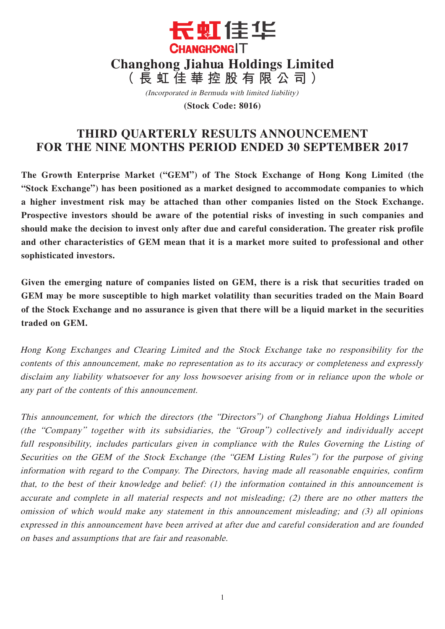

(Incorporated in Bermuda with limited liability)

**(Stock Code: 8016)**

# **THIRD QUARTERLY RESULTS ANNOUNCEMENT FOR THE NINE MONTHS PERIOD ENDED 30 SEPTEMBER 2017**

**The Growth Enterprise Market ("GEM") of The Stock Exchange of Hong Kong Limited (the "Stock Exchange") has been positioned as a market designed to accommodate companies to which a higher investment risk may be attached than other companies listed on the Stock Exchange. Prospective investors should be aware of the potential risks of investing in such companies and should make the decision to invest only after due and careful consideration. The greater risk profile and other characteristics of GEM mean that it is a market more suited to professional and other sophisticated investors.**

**Given the emerging nature of companies listed on GEM, there is a risk that securities traded on GEM may be more susceptible to high market volatility than securities traded on the Main Board of the Stock Exchange and no assurance is given that there will be a liquid market in the securities traded on GEM.**

Hong Kong Exchanges and Clearing Limited and the Stock Exchange take no responsibility for the contents of this announcement, make no representation as to its accuracy or completeness and expressly disclaim any liability whatsoever for any loss howsoever arising from or in reliance upon the whole or any part of the contents of this announcement.

This announcement, for which the directors (the "Directors") of Changhong Jiahua Holdings Limited (the "Company" together with its subsidiaries, the "Group") collectively and individually accept full responsibility, includes particulars given in compliance with the Rules Governing the Listing of Securities on the GEM of the Stock Exchange (the "GEM Listing Rules") for the purpose of giving information with regard to the Company. The Directors, having made all reasonable enquiries, confirm that, to the best of their knowledge and belief: (1) the information contained in this announcement is accurate and complete in all material respects and not misleading; (2) there are no other matters the omission of which would make any statement in this announcement misleading; and (3) all opinions expressed in this announcement have been arrived at after due and careful consideration and are founded on bases and assumptions that are fair and reasonable.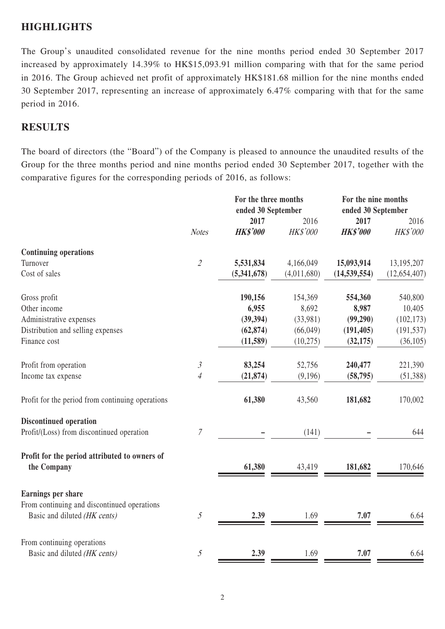## **HIGHLIGHTS**

The Group's unaudited consolidated revenue for the nine months period ended 30 September 2017 increased by approximately 14.39% to HK\$15,093.91 million comparing with that for the same period in 2016. The Group achieved net profit of approximately HK\$181.68 million for the nine months ended 30 September 2017, representing an increase of approximately 6.47% comparing with that for the same period in 2016.

### **RESULTS**

The board of directors (the "Board") of the Company is pleased to announce the unaudited results of the Group for the three months period and nine months period ended 30 September 2017, together with the comparative figures for the corresponding periods of 2016, as follows:

|                                                              |                | For the three months<br>ended 30 September |             | For the nine months<br>ended 30 September |                |
|--------------------------------------------------------------|----------------|--------------------------------------------|-------------|-------------------------------------------|----------------|
|                                                              |                | 2017                                       | 2016        | 2017                                      | 2016           |
|                                                              | <b>Notes</b>   | <b>HK\$'000</b>                            | HK\$'000    | <b>HK\$'000</b>                           | HK\$'000       |
| <b>Continuing operations</b>                                 |                |                                            |             |                                           |                |
| Turnover                                                     | $\overline{2}$ | 5,531,834                                  | 4,166,049   | 15,093,914                                | 13,195,207     |
| Cost of sales                                                |                | (5,341,678)                                | (4,011,680) | (14, 539, 554)                            | (12, 654, 407) |
| Gross profit                                                 |                | 190,156                                    | 154,369     | 554,360                                   | 540,800        |
| Other income                                                 |                | 6,955                                      | 8,692       | 8,987                                     | 10,405         |
| Administrative expenses                                      |                | (39, 394)                                  | (33,981)    | (99,290)                                  | (102, 173)     |
| Distribution and selling expenses                            |                | (62, 874)                                  | (66,049)    | (191, 405)                                | (191, 537)     |
| Finance cost                                                 |                | (11,589)                                   | (10,275)    | (32, 175)                                 | (36,105)       |
| Profit from operation                                        | $\mathfrak{Z}$ | 83,254                                     | 52,756      | 240,477                                   | 221,390        |
| Income tax expense                                           | $\overline{4}$ | (21, 874)                                  | (9,196)     | (58, 795)                                 | (51,388)       |
| Profit for the period from continuing operations             |                | 61,380                                     | 43,560      | 181,682                                   | 170,002        |
| <b>Discontinued operation</b>                                |                |                                            |             |                                           |                |
| Profit/(Loss) from discontinued operation                    | 7              |                                            | (141)       |                                           | 644            |
| Profit for the period attributed to owners of<br>the Company |                | 61,380                                     | 43,419      | 181,682                                   | 170,646        |
| Earnings per share                                           |                |                                            |             |                                           |                |
| From continuing and discontinued operations                  |                |                                            |             |                                           |                |
| Basic and diluted (HK cents)                                 | 5              | 2.39                                       | 1.69        | 7.07                                      | 6.64           |
| From continuing operations                                   |                |                                            |             |                                           |                |
| Basic and diluted (HK cents)                                 | $\mathfrak{I}$ | 2.39                                       | 1.69        | 7.07                                      | 6.64           |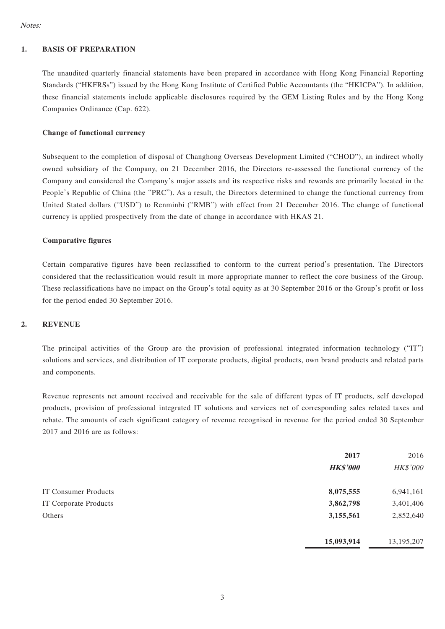### **1. BASIS OF PREPARATION**

The unaudited quarterly financial statements have been prepared in accordance with Hong Kong Financial Reporting Standards ("HKFRSs") issued by the Hong Kong Institute of Certified Public Accountants (the "HKICPA"). In addition, these financial statements include applicable disclosures required by the GEM Listing Rules and by the Hong Kong Companies Ordinance (Cap. 622).

#### **Change of functional currency**

Subsequent to the completion of disposal of Changhong Overseas Development Limited ("CHOD"), an indirect wholly owned subsidiary of the Company, on 21 December 2016, the Directors re-assessed the functional currency of the Company and considered the Company's major assets and its respective risks and rewards are primarily located in the People's Republic of China (the "PRC"). As a result, the Directors determined to change the functional currency from United Stated dollars ("USD") to Renminbi ("RMB") with effect from 21 December 2016. The change of functional currency is applied prospectively from the date of change in accordance with HKAS 21.

#### **Comparative figures**

Certain comparative figures have been reclassified to conform to the current period's presentation. The Directors considered that the reclassification would result in more appropriate manner to reflect the core business of the Group. These reclassifications have no impact on the Group's total equity as at 30 September 2016 or the Group's profit or loss for the period ended 30 September 2016.

### **2. REVENUE**

The principal activities of the Group are the provision of professional integrated information technology ("IT") solutions and services, and distribution of IT corporate products, digital products, own brand products and related parts and components.

Revenue represents net amount received and receivable for the sale of different types of IT products, self developed products, provision of professional integrated IT solutions and services net of corresponding sales related taxes and rebate. The amounts of each significant category of revenue recognised in revenue for the period ended 30 September 2017 and 2016 are as follows:

|                       | 2017<br><b>HK\$'000</b> | 2016<br>HK\$'000 |
|-----------------------|-------------------------|------------------|
| IT Consumer Products  | 8,075,555               | 6,941,161        |
| IT Corporate Products | 3,862,798               | 3,401,406        |
| Others                | 3,155,561               | 2,852,640        |
|                       | 15,093,914              | 13,195,207       |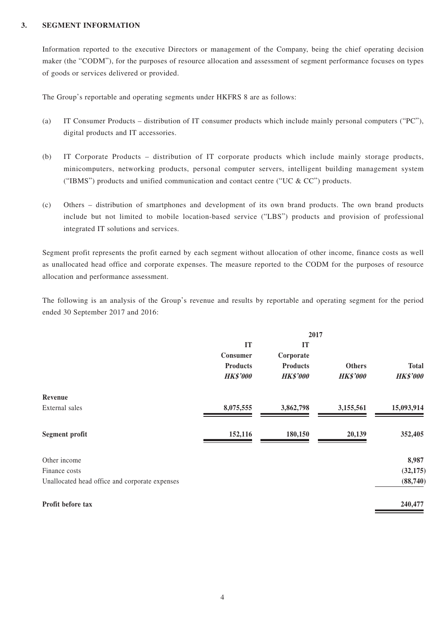### **3. SEGMENT INFORMATION**

Information reported to the executive Directors or management of the Company, being the chief operating decision maker (the "CODM"), for the purposes of resource allocation and assessment of segment performance focuses on types of goods or services delivered or provided.

The Group's reportable and operating segments under HKFRS 8 are as follows:

- (a) IT Consumer Products distribution of IT consumer products which include mainly personal computers ("PC"), digital products and IT accessories.
- (b) IT Corporate Products distribution of IT corporate products which include mainly storage products, minicomputers, networking products, personal computer servers, intelligent building management system ("IBMS") products and unified communication and contact centre ("UC  $&$  CC") products.
- (c) Others distribution of smartphones and development of its own brand products. The own brand products include but not limited to mobile location-based service ("LBS") products and provision of professional integrated IT solutions and services.

Segment profit represents the profit earned by each segment without allocation of other income, finance costs as well as unallocated head office and corporate expenses. The measure reported to the CODM for the purposes of resource allocation and performance assessment.

The following is an analysis of the Group's revenue and results by reportable and operating segment for the period ended 30 September 2017 and 2016:

|                                                | 2017                               |                                    |                                  |                                 |
|------------------------------------------------|------------------------------------|------------------------------------|----------------------------------|---------------------------------|
|                                                | IT<br>Consumer                     | IT<br>Corporate                    |                                  |                                 |
|                                                | <b>Products</b><br><b>HK\$'000</b> | <b>Products</b><br><b>HK\$'000</b> | <b>Others</b><br><b>HK\$'000</b> | <b>Total</b><br><b>HK\$'000</b> |
| Revenue                                        |                                    |                                    |                                  |                                 |
| External sales                                 | 8,075,555                          | 3,862,798                          | 3,155,561                        | 15,093,914                      |
| <b>Segment profit</b>                          | 152,116                            | 180,150                            | 20,139                           | 352,405                         |
| Other income                                   |                                    |                                    |                                  | 8,987                           |
| Finance costs                                  |                                    |                                    |                                  | (32, 175)                       |
| Unallocated head office and corporate expenses |                                    |                                    |                                  | (88,740)                        |
| Profit before tax                              |                                    |                                    |                                  | 240,477                         |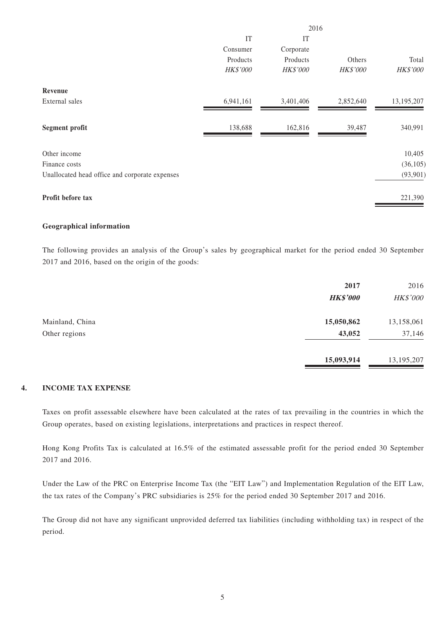|                                                | 2016      |           |           |                 |
|------------------------------------------------|-----------|-----------|-----------|-----------------|
|                                                | IT        | IT        |           |                 |
|                                                | Consumer  | Corporate |           |                 |
|                                                | Products  | Products  | Others    | Total           |
|                                                | HK\$'000  | HK\$'000  | HK\$'000  | <b>HK\$'000</b> |
| Revenue                                        |           |           |           |                 |
| External sales                                 | 6,941,161 | 3,401,406 | 2,852,640 | 13,195,207      |
| <b>Segment profit</b>                          | 138,688   | 162,816   | 39,487    | 340,991         |
| Other income                                   |           |           |           | 10,405          |
| Finance costs                                  |           |           |           | (36, 105)       |
| Unallocated head office and corporate expenses |           |           |           | (93, 901)       |
| Profit before tax                              |           |           |           | 221,390         |

### **Geographical information**

The following provides an analysis of the Group's sales by geographical market for the period ended 30 September 2017 and 2016, based on the origin of the goods:

|                 | 2017<br><b>HK\$'000</b> | 2016<br>HK\$'000 |
|-----------------|-------------------------|------------------|
| Mainland, China | 15,050,862              | 13,158,061       |
| Other regions   | 43,052                  | 37,146           |
|                 | 15,093,914              | 13,195,207       |

### **4. INCOME TAX EXPENSE**

Taxes on profit assessable elsewhere have been calculated at the rates of tax prevailing in the countries in which the Group operates, based on existing legislations, interpretations and practices in respect thereof.

Hong Kong Profits Tax is calculated at 16.5% of the estimated assessable profit for the period ended 30 September 2017 and 2016.

Under the Law of the PRC on Enterprise Income Tax (the "EIT Law") and Implementation Regulation of the EIT Law, the tax rates of the Company's PRC subsidiaries is 25% for the period ended 30 September 2017 and 2016.

The Group did not have any significant unprovided deferred tax liabilities (including withholding tax) in respect of the period.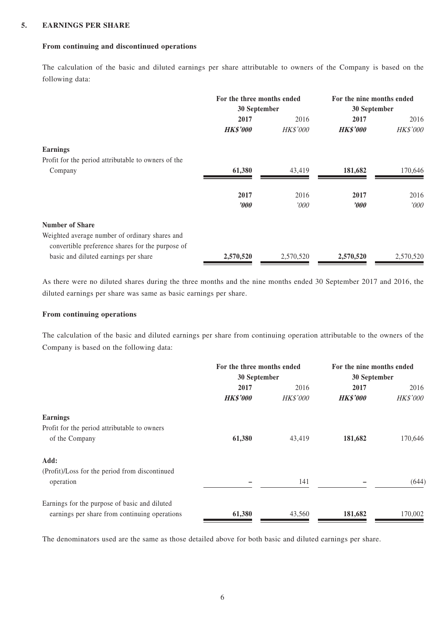### **5. EARNINGS PER SHARE**

### **From continuing and discontinued operations**

The calculation of the basic and diluted earnings per share attributable to owners of the Company is based on the following data:

|                                                     | For the three months ended<br>30 September |                 | For the nine months ended<br>30 September |           |
|-----------------------------------------------------|--------------------------------------------|-----------------|-------------------------------------------|-----------|
|                                                     | 2017                                       | 2016            | 2017                                      | 2016      |
|                                                     | <b>HK\$'000</b>                            | <b>HK\$'000</b> | <b>HK\$'000</b>                           | HK\$'000  |
| <b>Earnings</b>                                     |                                            |                 |                                           |           |
| Profit for the period attributable to owners of the |                                            |                 |                                           |           |
| Company                                             | 61,380                                     | 43,419          | 181,682                                   | 170,646   |
|                                                     | 2017                                       | 2016            | 2017                                      | 2016      |
|                                                     | $\bm{v}$                                   | '000            | $\boldsymbol{\it v00}$                    | '000      |
| <b>Number of Share</b>                              |                                            |                 |                                           |           |
| Weighted average number of ordinary shares and      |                                            |                 |                                           |           |
| convertible preference shares for the purpose of    |                                            |                 |                                           |           |
| basic and diluted earnings per share                | 2,570,520                                  | 2,570,520       | 2,570,520                                 | 2,570,520 |

As there were no diluted shares during the three months and the nine months ended 30 September 2017 and 2016, the diluted earnings per share was same as basic earnings per share.

### **From continuing operations**

The calculation of the basic and diluted earnings per share from continuing operation attributable to the owners of the Company is based on the following data:

|                                                | For the three months ended<br>30 September |                 | For the nine months ended<br>30 September |                 |
|------------------------------------------------|--------------------------------------------|-----------------|-------------------------------------------|-----------------|
|                                                |                                            |                 |                                           |                 |
|                                                | 2017                                       | 2016            | 2017                                      | 2016            |
|                                                | <b>HK\$'000</b>                            | <b>HK\$'000</b> | <b>HK\$'000</b>                           | <b>HK\$'000</b> |
| <b>Earnings</b>                                |                                            |                 |                                           |                 |
| Profit for the period attributable to owners   |                                            |                 |                                           |                 |
| of the Company                                 | 61,380                                     | 43,419          | 181,682                                   | 170,646         |
| Add:                                           |                                            |                 |                                           |                 |
| (Profit)/Loss for the period from discontinued |                                            |                 |                                           |                 |
| operation                                      |                                            | 141             |                                           | (644)           |
| Earnings for the purpose of basic and diluted  |                                            |                 |                                           |                 |
| earnings per share from continuing operations  | 61,380                                     | 43,560          | 181,682                                   | 170,002         |

The denominators used are the same as those detailed above for both basic and diluted earnings per share.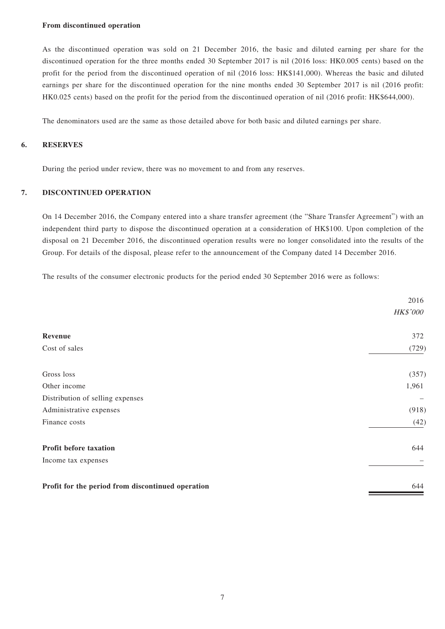#### **From discontinued operation**

As the discontinued operation was sold on 21 December 2016, the basic and diluted earning per share for the discontinued operation for the three months ended 30 September 2017 is nil (2016 loss: HK0.005 cents) based on the profit for the period from the discontinued operation of nil (2016 loss: HK\$141,000). Whereas the basic and diluted earnings per share for the discontinued operation for the nine months ended 30 September 2017 is nil (2016 profit: HK0.025 cents) based on the profit for the period from the discontinued operation of nil (2016 profit: HK\$644,000).

The denominators used are the same as those detailed above for both basic and diluted earnings per share.

### **6. RESERVES**

During the period under review, there was no movement to and from any reserves.

### **7. DISCONTINUED OPERATION**

On 14 December 2016, the Company entered into a share transfer agreement (the "Share Transfer Agreement") with an independent third party to dispose the discontinued operation at a consideration of HK\$100. Upon completion of the disposal on 21 December 2016, the discontinued operation results were no longer consolidated into the results of the Group. For details of the disposal, please refer to the announcement of the Company dated 14 December 2016.

The results of the consumer electronic products for the period ended 30 September 2016 were as follows:

|                                                   | 2016            |
|---------------------------------------------------|-----------------|
|                                                   | <b>HK\$'000</b> |
| Revenue                                           | 372             |
| Cost of sales                                     | (729)           |
| Gross loss                                        | (357)           |
| Other income                                      | 1,961           |
| Distribution of selling expenses                  |                 |
| Administrative expenses                           | (918)           |
| Finance costs                                     | (42)            |
| Profit before taxation                            | 644             |
| Income tax expenses                               |                 |
| Profit for the period from discontinued operation | 644             |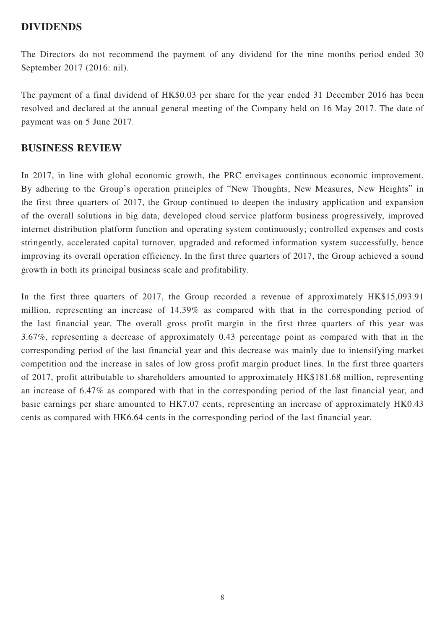### **DIVIDENDS**

The Directors do not recommend the payment of any dividend for the nine months period ended 30 September 2017 (2016: nil).

The payment of a final dividend of HK\$0.03 per share for the year ended 31 December 2016 has been resolved and declared at the annual general meeting of the Company held on 16 May 2017. The date of payment was on 5 June 2017.

### **BUSINESS REVIEW**

In 2017, in line with global economic growth, the PRC envisages continuous economic improvement. By adhering to the Group's operation principles of "New Thoughts, New Measures, New Heights" in the first three quarters of 2017, the Group continued to deepen the industry application and expansion of the overall solutions in big data, developed cloud service platform business progressively, improved internet distribution platform function and operating system continuously; controlled expenses and costs stringently, accelerated capital turnover, upgraded and reformed information system successfully, hence improving its overall operation efficiency. In the first three quarters of 2017, the Group achieved a sound growth in both its principal business scale and profitability.

In the first three quarters of 2017, the Group recorded a revenue of approximately HK\$15,093.91 million, representing an increase of 14.39% as compared with that in the corresponding period of the last financial year. The overall gross profit margin in the first three quarters of this year was 3.67%, representing a decrease of approximately 0.43 percentage point as compared with that in the corresponding period of the last financial year and this decrease was mainly due to intensifying market competition and the increase in sales of low gross profit margin product lines. In the first three quarters of 2017, profit attributable to shareholders amounted to approximately HK\$181.68 million, representing an increase of 6.47% as compared with that in the corresponding period of the last financial year, and basic earnings per share amounted to HK7.07 cents, representing an increase of approximately HK0.43 cents as compared with HK6.64 cents in the corresponding period of the last financial year.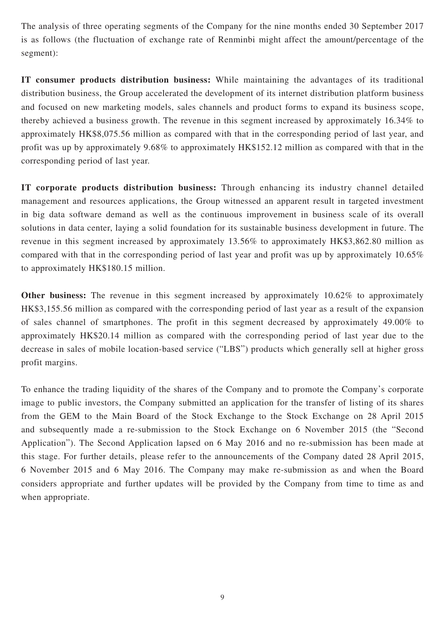The analysis of three operating segments of the Company for the nine months ended 30 September 2017 is as follows (the fluctuation of exchange rate of Renminbi might affect the amount/percentage of the segment):

**IT consumer products distribution business:** While maintaining the advantages of its traditional distribution business, the Group accelerated the development of its internet distribution platform business and focused on new marketing models, sales channels and product forms to expand its business scope, thereby achieved a business growth. The revenue in this segment increased by approximately 16.34% to approximately HK\$8,075.56 million as compared with that in the corresponding period of last year, and profit was up by approximately 9.68% to approximately HK\$152.12 million as compared with that in the corresponding period of last year.

**IT corporate products distribution business:** Through enhancing its industry channel detailed management and resources applications, the Group witnessed an apparent result in targeted investment in big data software demand as well as the continuous improvement in business scale of its overall solutions in data center, laying a solid foundation for its sustainable business development in future. The revenue in this segment increased by approximately 13.56% to approximately HK\$3,862.80 million as compared with that in the corresponding period of last year and profit was up by approximately 10.65% to approximately HK\$180.15 million.

**Other business:** The revenue in this segment increased by approximately 10.62% to approximately HK\$3,155.56 million as compared with the corresponding period of last year as a result of the expansion of sales channel of smartphones. The profit in this segment decreased by approximately 49.00% to approximately HK\$20.14 million as compared with the corresponding period of last year due to the decrease in sales of mobile location-based service ("LBS") products which generally sell at higher gross profit margins.

To enhance the trading liquidity of the shares of the Company and to promote the Company's corporate image to public investors, the Company submitted an application for the transfer of listing of its shares from the GEM to the Main Board of the Stock Exchange to the Stock Exchange on 28 April 2015 and subsequently made a re-submission to the Stock Exchange on 6 November 2015 (the "Second Application"). The Second Application lapsed on 6 May 2016 and no re-submission has been made at this stage. For further details, please refer to the announcements of the Company dated 28 April 2015, 6 November 2015 and 6 May 2016. The Company may make re-submission as and when the Board considers appropriate and further updates will be provided by the Company from time to time as and when appropriate.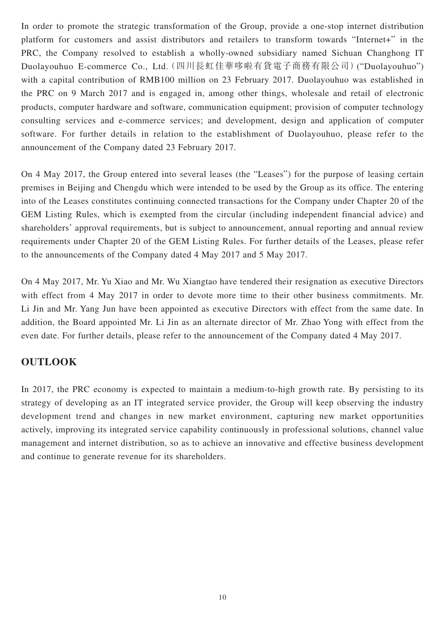In order to promote the strategic transformation of the Group, provide a one-stop internet distribution platform for customers and assist distributors and retailers to transform towards "Internet+" in the PRC, the Company resolved to establish a wholly-owned subsidiary named Sichuan Changhong IT Duolayouhuo E-commerce Co., Ltd.(四川長虹佳華哆啦有貨電子商務有限公司)("Duolayouhuo") with a capital contribution of RMB100 million on 23 February 2017. Duolayouhuo was established in the PRC on 9 March 2017 and is engaged in, among other things, wholesale and retail of electronic products, computer hardware and software, communication equipment; provision of computer technology consulting services and e-commerce services; and development, design and application of computer software. For further details in relation to the establishment of Duolayouhuo, please refer to the announcement of the Company dated 23 February 2017.

On 4 May 2017, the Group entered into several leases (the "Leases") for the purpose of leasing certain premises in Beijing and Chengdu which were intended to be used by the Group as its office. The entering into of the Leases constitutes continuing connected transactions for the Company under Chapter 20 of the GEM Listing Rules, which is exempted from the circular (including independent financial advice) and shareholders' approval requirements, but is subject to announcement, annual reporting and annual review requirements under Chapter 20 of the GEM Listing Rules. For further details of the Leases, please refer to the announcements of the Company dated 4 May 2017 and 5 May 2017.

On 4 May 2017, Mr. Yu Xiao and Mr. Wu Xiangtao have tendered their resignation as executive Directors with effect from 4 May 2017 in order to devote more time to their other business commitments. Mr. Li Jin and Mr. Yang Jun have been appointed as executive Directors with effect from the same date. In addition, the Board appointed Mr. Li Jin as an alternate director of Mr. Zhao Yong with effect from the even date. For further details, please refer to the announcement of the Company dated 4 May 2017.

# **OUTLOOK**

In 2017, the PRC economy is expected to maintain a medium-to-high growth rate. By persisting to its strategy of developing as an IT integrated service provider, the Group will keep observing the industry development trend and changes in new market environment, capturing new market opportunities actively, improving its integrated service capability continuously in professional solutions, channel value management and internet distribution, so as to achieve an innovative and effective business development and continue to generate revenue for its shareholders.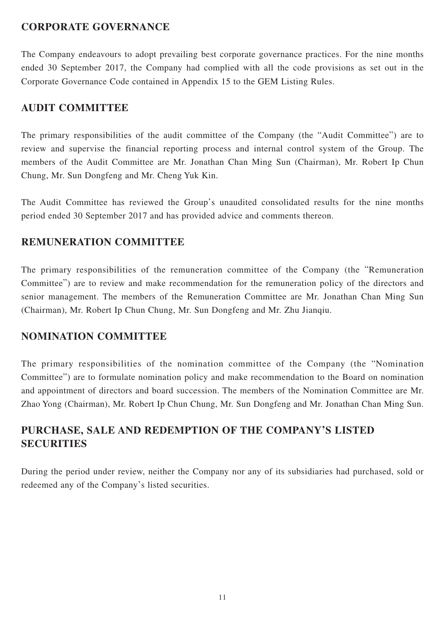# **CORPORATE GOVERNANCE**

The Company endeavours to adopt prevailing best corporate governance practices. For the nine months ended 30 September 2017, the Company had complied with all the code provisions as set out in the Corporate Governance Code contained in Appendix 15 to the GEM Listing Rules.

# **AUDIT COMMITTEE**

The primary responsibilities of the audit committee of the Company (the "Audit Committee") are to review and supervise the financial reporting process and internal control system of the Group. The members of the Audit Committee are Mr. Jonathan Chan Ming Sun (Chairman), Mr. Robert Ip Chun Chung, Mr. Sun Dongfeng and Mr. Cheng Yuk Kin.

The Audit Committee has reviewed the Group's unaudited consolidated results for the nine months period ended 30 September 2017 and has provided advice and comments thereon.

# **REMUNERATION COMMITTEE**

The primary responsibilities of the remuneration committee of the Company (the "Remuneration Committee") are to review and make recommendation for the remuneration policy of the directors and senior management. The members of the Remuneration Committee are Mr. Jonathan Chan Ming Sun (Chairman), Mr. Robert Ip Chun Chung, Mr. Sun Dongfeng and Mr. Zhu Jianqiu.

# **NOMINATION COMMITTEE**

The primary responsibilities of the nomination committee of the Company (the "Nomination Committee") are to formulate nomination policy and make recommendation to the Board on nomination and appointment of directors and board succession. The members of the Nomination Committee are Mr. Zhao Yong (Chairman), Mr. Robert Ip Chun Chung, Mr. Sun Dongfeng and Mr. Jonathan Chan Ming Sun.

# **PURCHASE, SALE AND REDEMPTION OF THE COMPANY'S LISTED SECURITIES**

During the period under review, neither the Company nor any of its subsidiaries had purchased, sold or redeemed any of the Company's listed securities.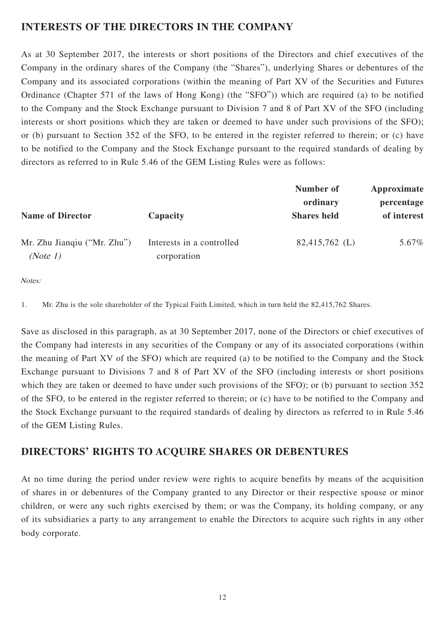# **INTERESTS OF THE DIRECTORS IN THE COMPANY**

As at 30 September 2017, the interests or short positions of the Directors and chief executives of the Company in the ordinary shares of the Company (the "Shares"), underlying Shares or debentures of the Company and its associated corporations (within the meaning of Part XV of the Securities and Futures Ordinance (Chapter 571 of the laws of Hong Kong) (the "SFO")) which are required (a) to be notified to the Company and the Stock Exchange pursuant to Division 7 and 8 of Part XV of the SFO (including interests or short positions which they are taken or deemed to have under such provisions of the SFO); or (b) pursuant to Section 352 of the SFO, to be entered in the register referred to therein; or (c) have to be notified to the Company and the Stock Exchange pursuant to the required standards of dealing by directors as referred to in Rule 5.46 of the GEM Listing Rules were as follows:

|                                          | Number of<br>ordinary | Approximate<br>percentage |
|------------------------------------------|-----------------------|---------------------------|
| Interests in a controlled<br>corporation | 82,415,762 (L)        | of interest<br>5.67%      |
|                                          | Capacity              | <b>Shares</b> held        |

Notes:

1. Mr. Zhu is the sole shareholder of the Typical Faith Limited, which in turn held the 82,415,762 Shares.

Save as disclosed in this paragraph, as at 30 September 2017, none of the Directors or chief executives of the Company had interests in any securities of the Company or any of its associated corporations (within the meaning of Part XV of the SFO) which are required (a) to be notified to the Company and the Stock Exchange pursuant to Divisions 7 and 8 of Part XV of the SFO (including interests or short positions which they are taken or deemed to have under such provisions of the SFO); or (b) pursuant to section 352 of the SFO, to be entered in the register referred to therein; or (c) have to be notified to the Company and the Stock Exchange pursuant to the required standards of dealing by directors as referred to in Rule 5.46 of the GEM Listing Rules.

# **DIRECTORS' RIGHTS TO ACQUIRE SHARES OR DEBENTURES**

At no time during the period under review were rights to acquire benefits by means of the acquisition of shares in or debentures of the Company granted to any Director or their respective spouse or minor children, or were any such rights exercised by them; or was the Company, its holding company, or any of its subsidiaries a party to any arrangement to enable the Directors to acquire such rights in any other body corporate.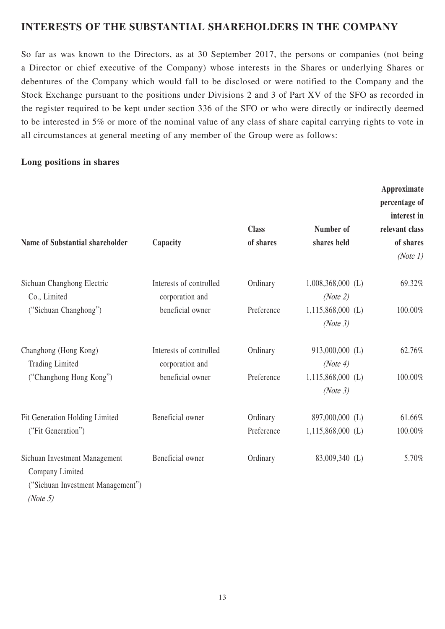# **INTERESTS OF THE SUBSTANTIAL SHAREHOLDERS IN THE COMPANY**

So far as was known to the Directors, as at 30 September 2017, the persons or companies (not being a Director or chief executive of the Company) whose interests in the Shares or underlying Shares or debentures of the Company which would fall to be disclosed or were notified to the Company and the Stock Exchange pursuant to the positions under Divisions 2 and 3 of Part XV of the SFO as recorded in the register required to be kept under section 336 of the SFO or who were directly or indirectly deemed to be interested in 5% or more of the nominal value of any class of share capital carrying rights to vote in all circumstances at general meeting of any member of the Group were as follows:

### **Long positions in shares**

| <b>Name of Substantial shareholder</b>                                                               | Capacity                                   | <b>Class</b><br>of shares | Number of<br>shares held               | Approximate<br>percentage of<br>interest in<br>relevant class<br>of shares<br>(Note 1) |
|------------------------------------------------------------------------------------------------------|--------------------------------------------|---------------------------|----------------------------------------|----------------------------------------------------------------------------------------|
| Sichuan Changhong Electric<br>Co., Limited                                                           | Interests of controlled<br>corporation and | Ordinary                  | $1,008,368,000$ (L)<br>(Note 2)        | 69.32%                                                                                 |
| ("Sichuan Changhong")                                                                                | beneficial owner                           | Preference                | $1,115,868,000$ (L)<br>(Note 3)        | 100.00%                                                                                |
| Changhong (Hong Kong)<br><b>Trading Limited</b>                                                      | Interests of controlled<br>corporation and | Ordinary                  | 913,000,000 (L)<br>(Note 4)            | 62.76%                                                                                 |
| ("Changhong Hong Kong")                                                                              | beneficial owner                           | Preference                | $1,115,868,000$ (L)<br>(Note 3)        | 100.00%                                                                                |
| Fit Generation Holding Limited<br>("Fit Generation")                                                 | Beneficial owner                           | Ordinary<br>Preference    | 897,000,000 (L)<br>$1,115,868,000$ (L) | 61.66%<br>100.00%                                                                      |
| Sichuan Investment Management<br>Company Limited<br>("Sichuan Investment Management")<br>(Note $5$ ) | Beneficial owner                           | Ordinary                  | 83,009,340 (L)                         | 5.70%                                                                                  |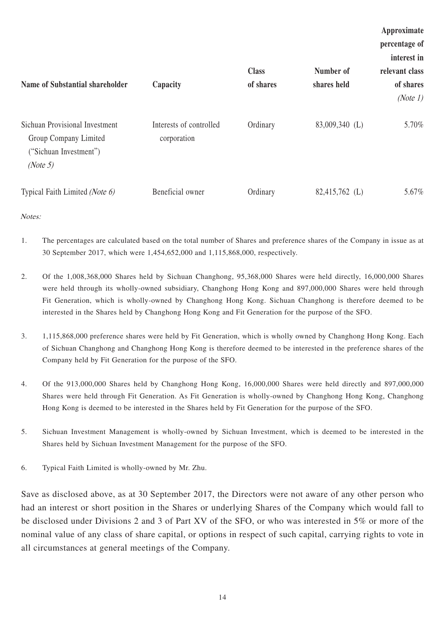|                                                                                               |                                        |              |                | Approximate    |
|-----------------------------------------------------------------------------------------------|----------------------------------------|--------------|----------------|----------------|
|                                                                                               |                                        |              |                | percentage of  |
|                                                                                               |                                        |              |                | interest in    |
|                                                                                               |                                        | <b>Class</b> | Number of      | relevant class |
| Name of Substantial shareholder                                                               | Capacity                               | of shares    | shares held    | of shares      |
|                                                                                               |                                        |              |                | (Note 1)       |
| Sichuan Provisional Investment<br>Group Company Limited<br>("Sichuan Investment")<br>(Note 5) | Interests of controlled<br>corporation | Ordinary     | 83,009,340 (L) | 5.70%          |
| Typical Faith Limited (Note 6)                                                                | Beneficial owner                       | Ordinary     | 82,415,762 (L) | 5.67%          |

Notes:

- 1. The percentages are calculated based on the total number of Shares and preference shares of the Company in issue as at 30 September 2017, which were 1,454,652,000 and 1,115,868,000, respectively.
- 2. Of the 1,008,368,000 Shares held by Sichuan Changhong, 95,368,000 Shares were held directly, 16,000,000 Shares were held through its wholly-owned subsidiary, Changhong Hong Kong and 897,000,000 Shares were held through Fit Generation, which is wholly-owned by Changhong Hong Kong. Sichuan Changhong is therefore deemed to be interested in the Shares held by Changhong Hong Kong and Fit Generation for the purpose of the SFO.
- 3. 1,115,868,000 preference shares were held by Fit Generation, which is wholly owned by Changhong Hong Kong. Each of Sichuan Changhong and Changhong Hong Kong is therefore deemed to be interested in the preference shares of the Company held by Fit Generation for the purpose of the SFO.
- 4. Of the 913,000,000 Shares held by Changhong Hong Kong, 16,000,000 Shares were held directly and 897,000,000 Shares were held through Fit Generation. As Fit Generation is wholly-owned by Changhong Hong Kong, Changhong Hong Kong is deemed to be interested in the Shares held by Fit Generation for the purpose of the SFO.
- 5. Sichuan Investment Management is wholly-owned by Sichuan Investment, which is deemed to be interested in the Shares held by Sichuan Investment Management for the purpose of the SFO.
- 6. Typical Faith Limited is wholly-owned by Mr. Zhu.

Save as disclosed above, as at 30 September 2017, the Directors were not aware of any other person who had an interest or short position in the Shares or underlying Shares of the Company which would fall to be disclosed under Divisions 2 and 3 of Part XV of the SFO, or who was interested in 5% or more of the nominal value of any class of share capital, or options in respect of such capital, carrying rights to vote in all circumstances at general meetings of the Company.